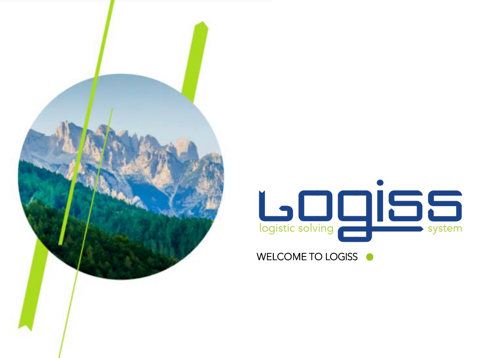

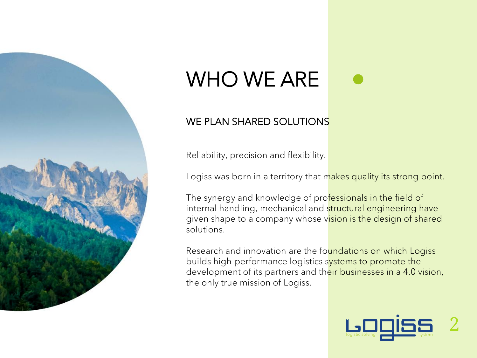

## WHO WE ARE

#### WE PLAN SHARED SOLUTIONS

Reliability, precision and flexibility.

Logiss was born in a territory that makes quality its strong point.

The synergy and knowledge of professionals in the field of internal handling, mechanical and structural engineering have given shape to a company whose vision is the design of shared solutions.

Research and innovation are the foundations on which Logiss builds high-performance logistics systems to promote the development of its partners and their businesses in a 4.0 vision, the only true mission of Logiss.

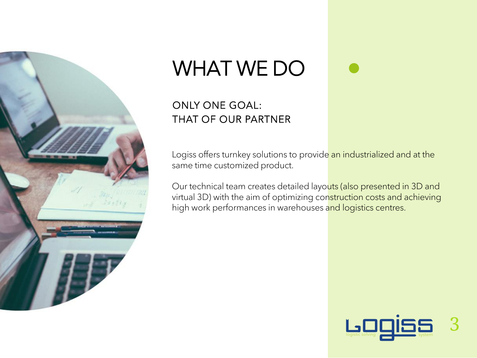

## WHAT WE DO

#### ONLY ONE GOAL: THAT OF OUR PARTNER

Logiss offers turnkey solutions to provide an industrialized and at the same time customized product.

Our technical team creates detailed layouts (also presented in 3D and virtual 3D) with the aim of optimizing construction costs and achieving high work performances in warehouses and logistics centres.

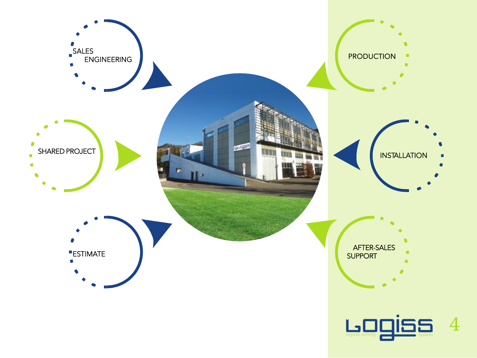

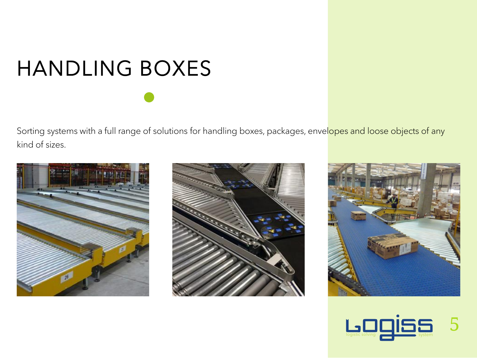# HANDLING BOXES

Sorting systems with a full range of solutions for handling boxes, packages, envelopes and loose objects of any kind of sizes.







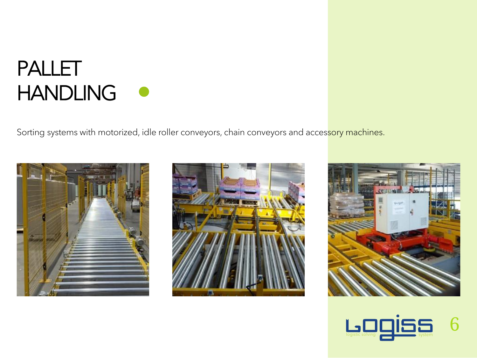#### PALLET HANDLING O

Sorting systems with motorized, idle roller conveyors, chain conveyors and accessory machines.







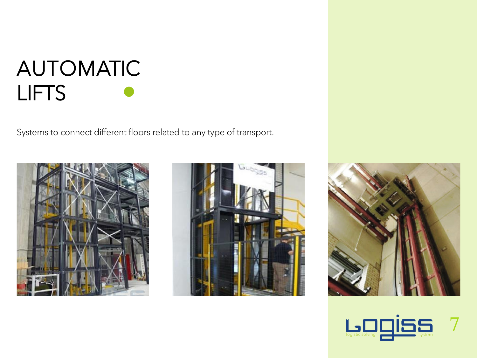#### AUTOMATIC LIFTS

Systems to connect different floors related to any type of transport.







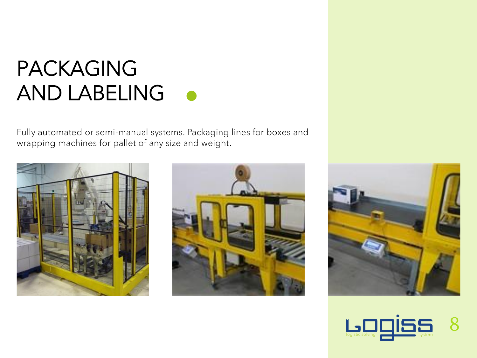#### PACKAGING AND LABELING

Fully automated or semi-manual systems. Packaging lines for boxes and wrapping machines for pallet of any size and weight.







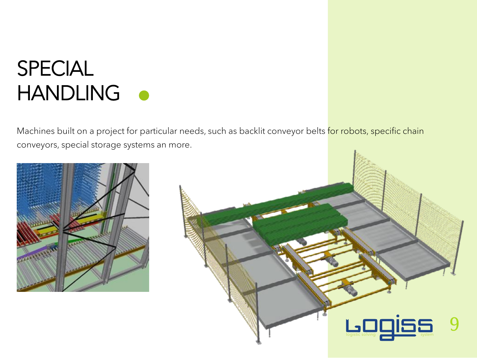### SPECIAL HANDLING **O**

Machines built on a project for particular needs, such as backlit conveyor belts for robots, specific chain conveyors, special storage systems an more.



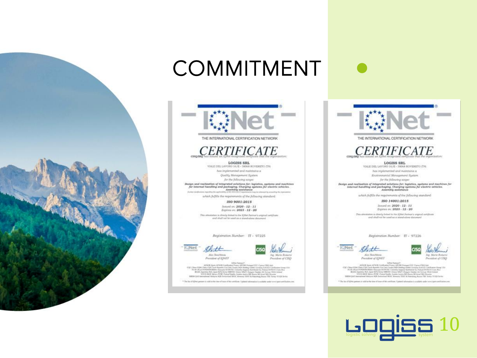



COMMITMENT

THE INTERNATIONAL CERTIFICATION NETWORK



LOGISS SRL VIALE DEL LAVORO 16/E - 38068 ROVERETO (TN)

has implemented and maintains a Quality Management System

for the following scope:

Design and realization of integrated solutions for: logistics, systems and machines for internal handling and packaging. Charging systems for electric schicles.<br>Assembly assistance

which fulfills the requirements of the following standard:

ISO 9001:2015 Januard on: 2020 - 12 - 11 Equines on: 2023 - 12 - 20

This attraction is closely linked to the RNiet Pertner's original certificate and shall not be went as a standaline document

Registration Number: IT - 97225



President of IQNET

by, Mirio Romersi President of CISQ

 $\label{eq:2.1} \begin{array}{c} \textit{10000} & \textit{10000} & \textit{10000} & \textit{10000} & \textit{10000} & \textit{10000} & \textit{10000} & \textit{10000} & \textit{10000} & \textit{10000} & \textit{10000} & \textit{10000} \\ \textit{100000} & \textit{10000} & \textit{10000} & \textit{10000} & \textit{10000} & \textit{10000} & \textit{1$ **Johnson** 

<sup>4</sup> The list of \$20st param to raid at the city of inter of this certifican. Updated today



THE INTERNATIONAL CERTIFICATION NETWORK

#### **CERTIFICATE** caso aro-

LOGISS SRL VALE DEL LAVORO 16/E - 38068 ROVERETO (TN)

Ass implemented and maintains a

Enzironmental Management System

for the following scope:

Design and realization of integrated solutions for: legistics, systems and machines for internal handling and peckaging. Charging systems for electric vehicles.<br>Assembly assistance

which fulfills the requirements of the following standard:

ISO 14001:2015 haned on: 2020 - 12 - 11 Expires on: 2023 - 12 - 20

This attentiation is directly finited to the  $I(2\bar{0}4)$  Partner's express certificate  $\alpha$  and what her search as a stand-alone stockers and

Registration Number: IT - 97226





 $\label{eq:2.1} \begin{array}{c} \text{D}(0) \text{Fick} \text{Pekm} \text{Pekm} \text{Pekm} \text{Pekm} \text{Pekm} \text{Pekm} \text{Pekm} \text{Pekm} \text{Pekm} \text{Pekm} \text{Pekm} \text{Pekm} \text{Pekm} \text{Pekm} \text{Pekm} \text{Pekm} \text{Pekm} \text{Pekm} \text{Pekm} \text{Pekm} \text{Pekm} \text{Pekm} \text{Pekm} \text{Pekm} \text{Pekm} \text{Pekm} \text{Pekm} \text$ **COC CM British Carl Inc.** 

<sup>2</sup> The lat of KNew partners is halfal at the time of lease of this continues. Upstood

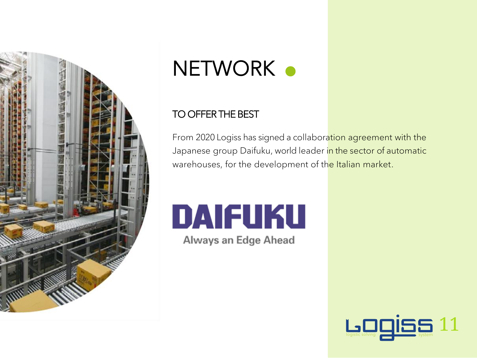

## NETWORK .

#### TO OFFER THE BEST

From 2020 Logiss has signed a collaboration agreement with the Japanese group Daifuku, world leader in the sector of automatic warehouses, for the development of the Italian market.

# DAIFUKU

Always an Edge Ahead

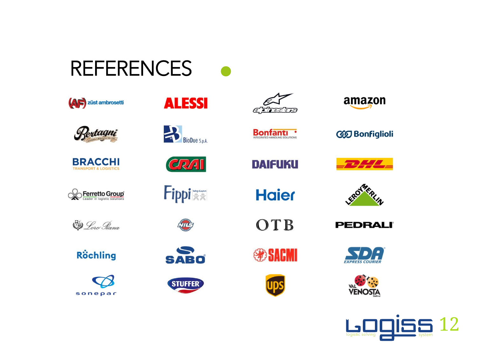#### **REFERENCES**





**BRACCHI TRANSPORT & LOGISTICS** 













CRAI

Fippi



**SABO** 









**Bonfanti** 

**DAIFUKU** 

**Haier** 

OTB





**GD** Bonfiglioli

**PEDRALI**